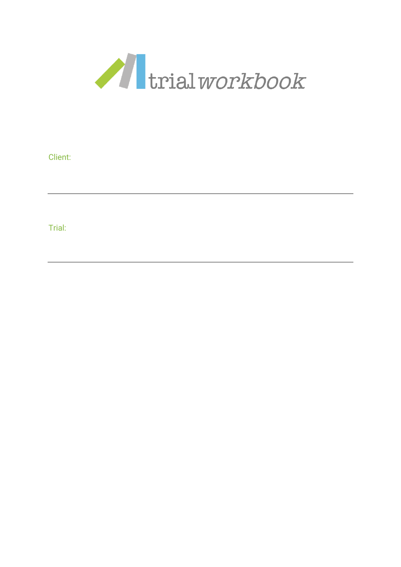

Client:

Trial: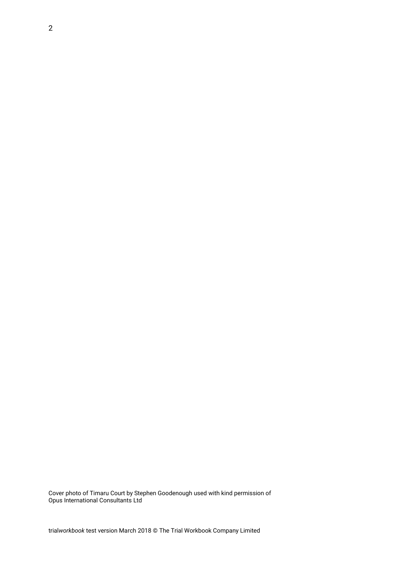Cover photo of Timaru Court by Stephen Goodenough used with kind permission of Opus International Consultants Ltd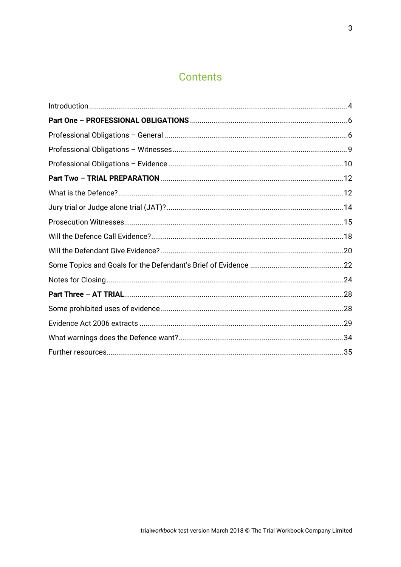## **Contents**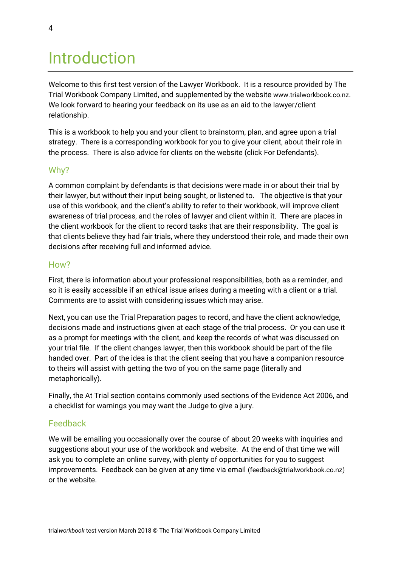## <span id="page-3-0"></span>Introduction

Welcome to this first test version of the Lawyer Workbook. It is a resource provided by The Trial Workbook Company Limited, and supplemented by the website [www.trialworkbook.co.nz](http://www.trialworkbook.co.nz/). We look forward to hearing your feedback on its use as an aid to the lawyer/client relationship.

This is a workbook to help you and your client to brainstorm, plan, and agree upon a trial strategy. There is a corresponding workbook for you to give your client, about their role in the process. There is also advice for clients on the website (click For Defendants).

## Why?

A common complaint by defendants is that decisions were made in or about their trial by their lawyer, but without their input being sought, or listened to. The objective is that your use of this workbook, and the client's ability to refer to their workbook, will improve client awareness of trial process, and the roles of lawyer and client within it. There are places in the client workbook for the client to record tasks that are their responsibility. The goal is that clients believe they had fair trials, where they understood their role, and made their own decisions after receiving full and informed advice.

### How?

First, there is information about your professional responsibilities, both as a reminder, and so it is easily accessible if an ethical issue arises during a meeting with a client or a trial. Comments are to assist with considering issues which may arise.

Next, you can use the Trial Preparation pages to record, and have the client acknowledge, decisions made and instructions given at each stage of the trial process. Or you can use it as a prompt for meetings with the client, and keep the records of what was discussed on your trial file. If the client changes lawyer, then this workbook should be part of the file handed over. Part of the idea is that the client seeing that you have a companion resource to theirs will assist with getting the two of you on the same page (literally and metaphorically).

Finally, the At Trial section contains commonly used sections of the Evidence Act 2006, and a checklist for warnings you may want the Judge to give a jury.

### Feedback

We will be emailing you occasionally over the course of about 20 weeks with inquiries and suggestions about your use of the workbook and website. At the end of that time we will ask you to complete an online survey, with plenty of opportunities for you to suggest improvements. Feedback can be given at any time via email [\(feedback@trialworkbook.co.nz\)](mailto:feedback@trialworkbook.co.nz) or the website.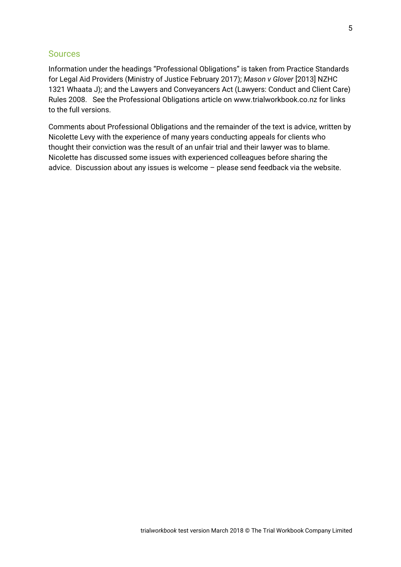#### Sources

Information under the headings "Professional Obligations" is taken from Practice Standards for Legal Aid Providers (Ministry of Justice February 2017); *Mason v Glover* [2013] NZHC 1321 Whaata J); and the Lawyers and Conveyancers Act (Lawyers: Conduct and Client Care) Rules 2008. See the Professional Obligations article on [www.trialworkbook.co.nz](http://www.trialworkbook.co.nz/) for links to the full versions.

Comments about Professional Obligations and the remainder of the text is advice, written by Nicolette Levy with the experience of many years conducting appeals for clients who thought their conviction was the result of an unfair trial and their lawyer was to blame. Nicolette has discussed some issues with experienced colleagues before sharing the advice. Discussion about any issues is welcome – please send feedback via the website.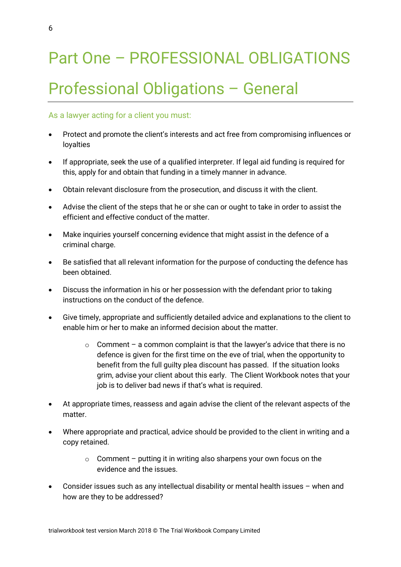# <span id="page-5-0"></span>Part One – PROFESSIONAL OBLIGATIONS

## <span id="page-5-1"></span>Professional Obligations – General

### As a lawyer acting for a client you must:

- Protect and promote the client's interests and act free from compromising influences or loyalties
- If appropriate, seek the use of a qualified interpreter. If legal aid funding is required for this, apply for and obtain that funding in a timely manner in advance.
- Obtain relevant disclosure from the prosecution, and discuss it with the client.
- Advise the client of the steps that he or she can or ought to take in order to assist the efficient and effective conduct of the matter.
- Make inquiries yourself concerning evidence that might assist in the defence of a criminal charge.
- Be satisfied that all relevant information for the purpose of conducting the defence has been obtained.
- Discuss the information in his or her possession with the defendant prior to taking instructions on the conduct of the defence.
- Give timely, appropriate and sufficiently detailed advice and explanations to the client to enable him or her to make an informed decision about the matter.
	- $\circ$  Comment a common complaint is that the lawyer's advice that there is no defence is given for the first time on the eve of trial, when the opportunity to benefit from the full guilty plea discount has passed. If the situation looks grim, advise your client about this early. The Client Workbook notes that your job is to deliver bad news if that's what is required.
- At appropriate times, reassess and again advise the client of the relevant aspects of the matter.
- Where appropriate and practical, advice should be provided to the client in writing and a copy retained.
	- $\circ$  Comment putting it in writing also sharpens your own focus on the evidence and the issues.
- Consider issues such as any intellectual disability or mental health issues when and how are they to be addressed?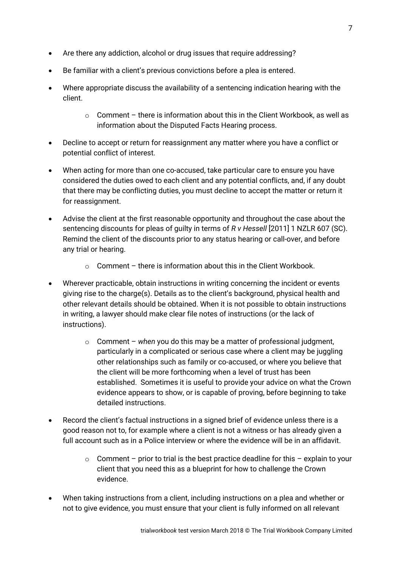- Are there any addiction, alcohol or drug issues that require addressing?
- Be familiar with a client's previous convictions before a plea is entered.
- Where appropriate discuss the availability of a sentencing indication hearing with the client.
	- $\circ$  Comment there is information about this in the Client Workbook, as well as information about the Disputed Facts Hearing process.
- Decline to accept or return for reassignment any matter where you have a conflict or potential conflict of interest.
- When acting for more than one co-accused, take particular care to ensure you have considered the duties owed to each client and any potential conflicts, and, if any doubt that there may be conflicting duties, you must decline to accept the matter or return it for reassignment.
- Advise the client at the first reasonable opportunity and throughout the case about the sentencing discounts for pleas of guilty in terms of *R v Hessell* [2011] 1 NZLR 607 (SC). Remind the client of the discounts prior to any status hearing or call-over, and before any trial or hearing.
	- $\circ$  Comment there is information about this in the Client Workbook.
- Wherever practicable, obtain instructions in writing concerning the incident or events giving rise to the charge(s). Details as to the client's background, physical health and other relevant details should be obtained. When it is not possible to obtain instructions in writing, a lawyer should make clear file notes of instructions (or the lack of instructions).
	- o Comment *when* you do this may be a matter of professional judgment, particularly in a complicated or serious case where a client may be juggling other relationships such as family or co-accused, or where you believe that the client will be more forthcoming when a level of trust has been established. Sometimes it is useful to provide your advice on what the Crown evidence appears to show, or is capable of proving, before beginning to take detailed instructions.
- Record the client's factual instructions in a signed brief of evidence unless there is a good reason not to, for example where a client is not a witness or has already given a full account such as in a Police interview or where the evidence will be in an affidavit.
	- $\circ$  Comment prior to trial is the best practice deadline for this explain to your client that you need this as a blueprint for how to challenge the Crown evidence.
- When taking instructions from a client, including instructions on a plea and whether or not to give evidence, you must ensure that your client is fully informed on all relevant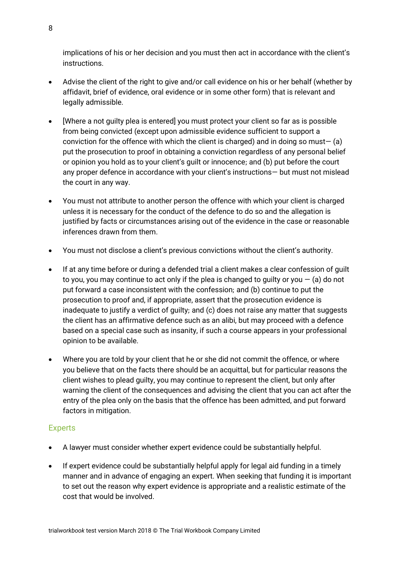implications of his or her decision and you must then act in accordance with the client's instructions.

- Advise the client of the right to give and/or call evidence on his or her behalf (whether by affidavit, brief of evidence, oral evidence or in some other form) that is relevant and legally admissible.
- [Where a not guilty plea is entered] you must protect your client so far as is possible from being convicted (except upon admissible evidence sufficient to support a conviction for the offence with which the client is charged) and in doing so must- (a) put the prosecution to proof in obtaining a conviction regardless of any personal belief or opinion you hold as to your client's guilt or innocence; and (b) put before the court any proper defence in accordance with your client's instructions— but must not mislead the court in any way.
- You must not attribute to another person the offence with which your client is charged unless it is necessary for the conduct of the defence to do so and the allegation is justified by facts or circumstances arising out of the evidence in the case or reasonable inferences drawn from them.
- You must not disclose a client's previous convictions without the client's authority.
- If at any time before or during a defended trial a client makes a clear confession of guilt to you, you may continue to act only if the plea is changed to quilty or you  $-$  (a) do not put forward a case inconsistent with the confession; and (b) continue to put the prosecution to proof and, if appropriate, assert that the prosecution evidence is inadequate to justify a verdict of guilty; and (c) does not raise any matter that suggests the client has an affirmative defence such as an alibi, but may proceed with a defence based on a special case such as insanity, if such a course appears in your professional opinion to be available.
- Where you are told by your client that he or she did not commit the offence, or where you believe that on the facts there should be an acquittal, but for particular reasons the client wishes to plead guilty, you may continue to represent the client, but only after warning the client of the consequences and advising the client that you can act after the entry of the plea only on the basis that the offence has been admitted, and put forward factors in mitigation.

### **Experts**

- A lawyer must consider whether expert evidence could be substantially helpful.
- If expert evidence could be substantially helpful apply for legal aid funding in a timely manner and in advance of engaging an expert. When seeking that funding it is important to set out the reason why expert evidence is appropriate and a realistic estimate of the cost that would be involved.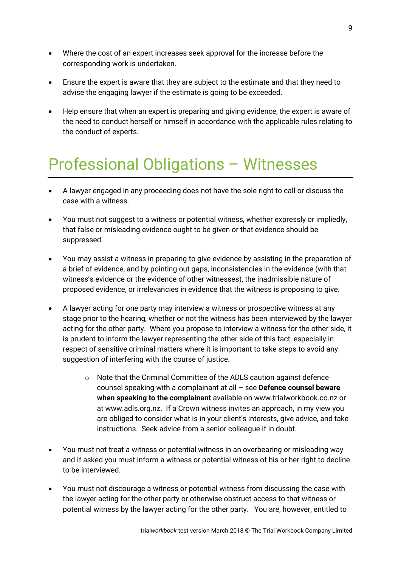- Where the cost of an expert increases seek approval for the increase before the corresponding work is undertaken.
- Ensure the expert is aware that they are subject to the estimate and that they need to advise the engaging lawyer if the estimate is going to be exceeded.
- Help ensure that when an expert is preparing and giving evidence, the expert is aware of the need to conduct herself or himself in accordance with the applicable rules relating to the conduct of experts.

## <span id="page-8-0"></span>Professional Obligations – Witnesses

- A lawyer engaged in any proceeding does not have the sole right to call or discuss the case with a witness.
- You must not suggest to a witness or potential witness, whether expressly or impliedly, that false or misleading evidence ought to be given or that evidence should be suppressed.
- You may assist a witness in preparing to give evidence by assisting in the preparation of a brief of evidence, and by pointing out gaps, inconsistencies in the evidence (with that witness's evidence or the evidence of other witnesses), the inadmissible nature of proposed evidence, or irrelevancies in evidence that the witness is proposing to give.
- A lawyer acting for one party may interview a witness or prospective witness at any stage prior to the hearing, whether or not the witness has been interviewed by the lawyer acting for the other party. Where you propose to interview a witness for the other side, it is prudent to inform the lawyer representing the other side of this fact, especially in respect of sensitive criminal matters where it is important to take steps to avoid any suggestion of interfering with the course of justice.
	- o Note that the Criminal Committee of the ADLS caution against defence counsel speaking with a complainant at all – see **Defence counsel beware when speaking to the complainant** available on [www.trialworkbook.co.nz](http://www.trialworkbook.co.nz/) or at [www.adls.org.nz.](http://www.adls.org.nz/) If a Crown witness invites an approach, in my view you are obliged to consider what is in your client's interests, give advice, and take instructions. Seek advice from a senior colleague if in doubt.
- You must not treat a witness or potential witness in an overbearing or misleading way and if asked you must inform a witness or potential witness of his or her right to decline to be interviewed.
- You must not discourage a witness or potential witness from discussing the case with the lawyer acting for the other party or otherwise obstruct access to that witness or potential witness by the lawyer acting for the other party. You are, however, entitled to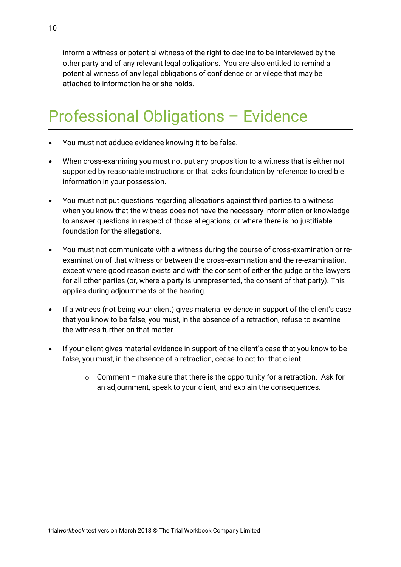inform a witness or potential witness of the right to decline to be interviewed by the other party and of any relevant legal obligations. You are also entitled to remind a potential witness of any legal obligations of confidence or privilege that may be attached to information he or she holds.

## <span id="page-9-0"></span>Professional Obligations – Evidence

- You must not adduce evidence knowing it to be false.
- When cross-examining you must not put any proposition to a witness that is either not supported by reasonable instructions or that lacks foundation by reference to credible information in your possession.
- You must not put questions regarding allegations against third parties to a witness when you know that the witness does not have the necessary information or knowledge to answer questions in respect of those allegations, or where there is no justifiable foundation for the allegations.
- You must not communicate with a witness during the course of cross-examination or reexamination of that witness or between the cross-examination and the re-examination, except where good reason exists and with the consent of either the judge or the lawyers for all other parties (or, where a party is unrepresented, the consent of that party). This applies during adjournments of the hearing.
- If a witness (not being your client) gives material evidence in support of the client's case that you know to be false, you must, in the absence of a retraction, refuse to examine the witness further on that matter.
- If your client gives material evidence in support of the client's case that you know to be false, you must, in the absence of a retraction, cease to act for that client.
	- $\circ$  Comment make sure that there is the opportunity for a retraction. Ask for an adjournment, speak to your client, and explain the consequences.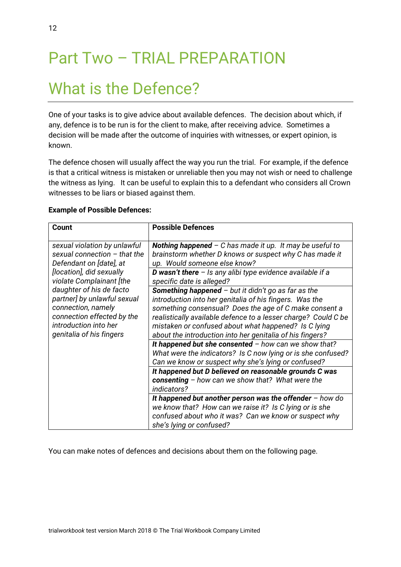## <span id="page-11-0"></span>Part Two – TRIAL PREPARATION

## <span id="page-11-1"></span>What is the Defence?

One of your tasks is to give advice about available defences. The decision about which, if any, defence is to be run is for the client to make, after receiving advice. Sometimes a decision will be made after the outcome of inquiries with witnesses, or expert opinion, is known.

The defence chosen will usually affect the way you run the trial. For example, if the defence is that a critical witness is mistaken or unreliable then you may not wish or need to challenge the witness as lying. It can be useful to explain this to a defendant who considers all Crown witnesses to be liars or biased against them.

#### **Example of Possible Defences:**

| Count                                                                                                                                                            | <b>Possible Defences</b>                                                                                                                                                                                                                                                                                                                                                                                                                                                                     |
|------------------------------------------------------------------------------------------------------------------------------------------------------------------|----------------------------------------------------------------------------------------------------------------------------------------------------------------------------------------------------------------------------------------------------------------------------------------------------------------------------------------------------------------------------------------------------------------------------------------------------------------------------------------------|
| sexual violation by unlawful<br>sexual connection $-$ that the<br>Defendant on [date], at                                                                        | <b>Nothing happened</b> $-$ C has made it up. It may be useful to<br>brainstorm whether D knows or suspect why C has made it<br>up. Would someone else know?                                                                                                                                                                                                                                                                                                                                 |
| [location], did sexually<br>violate Complainant [the                                                                                                             | <b>D</b> wasn't there $-$ Is any alibi type evidence available if a<br>specific date is alleged?                                                                                                                                                                                                                                                                                                                                                                                             |
| daughter of his de facto<br>partner] by unlawful sexual<br>connection, namely<br>connection effected by the<br>introduction into her<br>genitalia of his fingers | Something happened $-$ but it didn't go as far as the<br>introduction into her genitalia of his fingers. Was the<br>something consensual? Does the age of C make consent a<br>realistically available defence to a lesser charge? Could C be<br>mistaken or confused about what happened? Is C lying<br>about the introduction into her genitalia of his fingers?<br>It happened but she consented $-$ how can we show that?<br>What were the indicators? Is C now lying or is she confused? |
|                                                                                                                                                                  | Can we know or suspect why she's lying or confused?<br>It happened but D believed on reasonable grounds C was<br>consenting $-$ how can we show that? What were the<br>indicators?                                                                                                                                                                                                                                                                                                           |
|                                                                                                                                                                  | It happened but another person was the offender $-$ how do<br>we know that? How can we raise it? Is C lying or is she<br>confused about who it was? Can we know or suspect why<br>she's lying or confused?                                                                                                                                                                                                                                                                                   |

You can make notes of defences and decisions about them on the following page.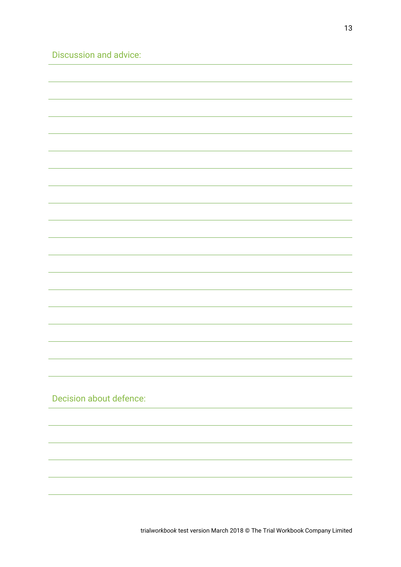Discussion and advice:

Decision about defence:

trial*workbook* test version March 2018 © The Trial Workbook Company Limited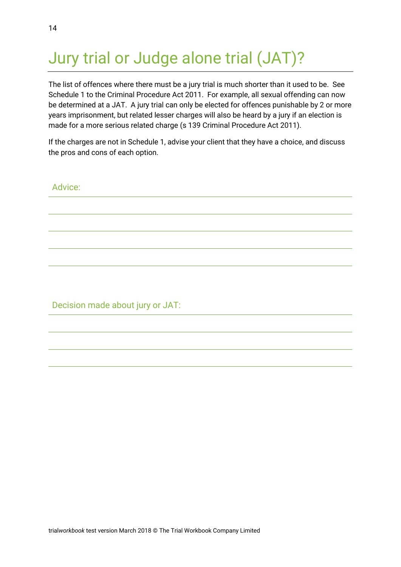## <span id="page-13-0"></span>Jury trial or Judge alone trial (JAT)?

The list of offences where there must be a jury trial is much shorter than it used to be. See Schedule 1 to the Criminal Procedure Act 2011. For example, all sexual offending can now be determined at a JAT. A jury trial can only be elected for offences punishable by 2 or more years imprisonment, but related lesser charges will also be heard by a jury if an election is made for a more serious related charge (s 139 Criminal Procedure Act 2011).

If the charges are not in Schedule 1, advise your client that they have a choice, and discuss the pros and cons of each option.

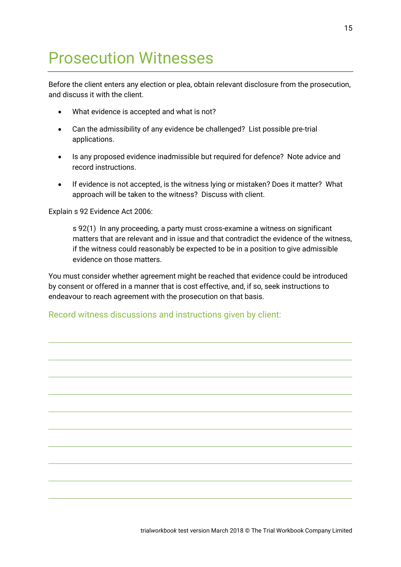## <span id="page-14-0"></span>Prosecution Witnesses

Before the client enters any election or plea, obtain relevant disclosure from the prosecution, and discuss it with the client.

- What evidence is accepted and what is not?
- Can the admissibility of any evidence be challenged? List possible pre-trial applications.
- Is any proposed evidence inadmissible but required for defence? Note advice and record instructions.
- If evidence is not accepted, is the witness lying or mistaken? Does it matter? What approach will be taken to the witness? Discuss with client.

Explain s 92 Evidence Act 2006:

s 92(1) In any proceeding, a party must cross-examine a witness on significant matters that are relevant and in issue and that contradict the evidence of the witness, if the witness could reasonably be expected to be in a position to give admissible evidence on those matters.

You must consider whether agreement might be reached that evidence could be introduced by consent or offered in a manner that is cost effective, and, if so, seek instructions to endeavour to reach agreement with the prosecution on that basis.

### Record witness discussions and instructions given by client: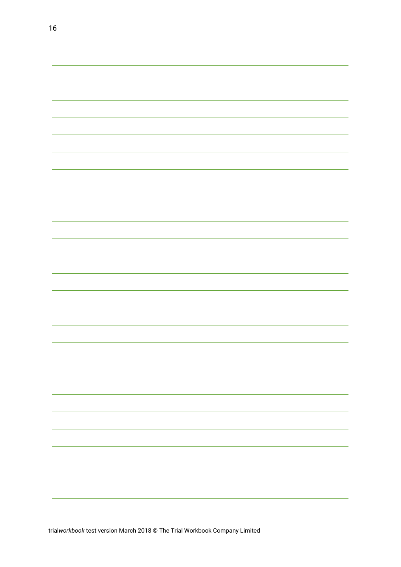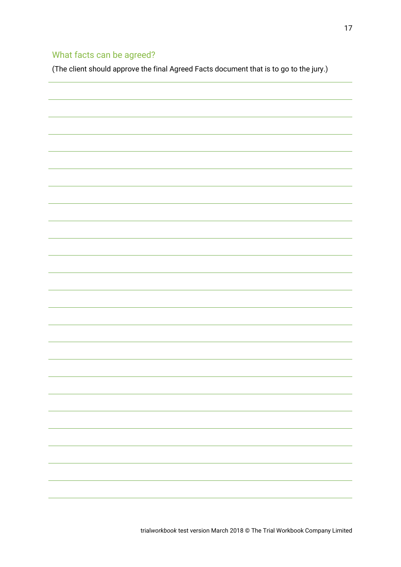## What facts can be agreed?

(The client should approve the final Agreed Facts document that is to go to the jury.)

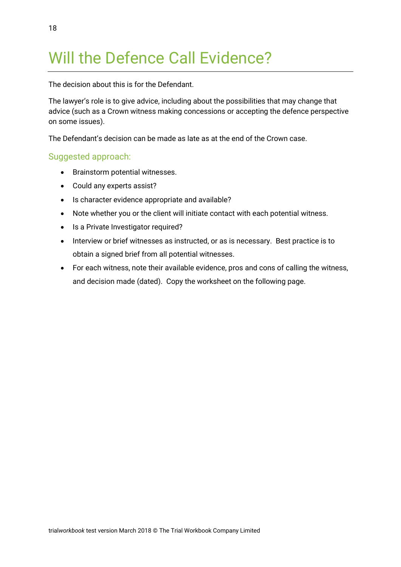## <span id="page-17-0"></span>Will the Defence Call Evidence?

The decision about this is for the Defendant.

The lawyer's role is to give advice, including about the possibilities that may change that advice (such as a Crown witness making concessions or accepting the defence perspective on some issues).

The Defendant's decision can be made as late as at the end of the Crown case.

### Suggested approach:

- Brainstorm potential witnesses.
- Could any experts assist?
- Is character evidence appropriate and available?
- Note whether you or the client will initiate contact with each potential witness.
- Is a Private Investigator required?
- Interview or brief witnesses as instructed, or as is necessary. Best practice is to obtain a signed brief from all potential witnesses.
- For each witness, note their available evidence, pros and cons of calling the witness, and decision made (dated). Copy the worksheet on the following page.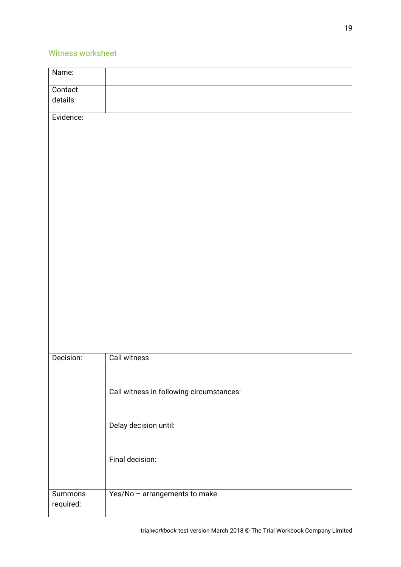## Witness worksheet

| Name:     |                                          |
|-----------|------------------------------------------|
| Contact   |                                          |
| details:  |                                          |
| Evidence: |                                          |
|           |                                          |
|           |                                          |
|           |                                          |
|           |                                          |
|           |                                          |
|           |                                          |
|           |                                          |
|           |                                          |
|           |                                          |
|           |                                          |
|           |                                          |
|           |                                          |
|           |                                          |
|           |                                          |
|           |                                          |
|           |                                          |
|           |                                          |
| Decision: | Call witness                             |
|           |                                          |
|           | Call witness in following circumstances: |
|           |                                          |
|           |                                          |
|           | Delay decision until:                    |
|           |                                          |
|           | Final decision:                          |
|           |                                          |
|           |                                          |
| Summons   | Yes/No - arrangements to make            |
| required: |                                          |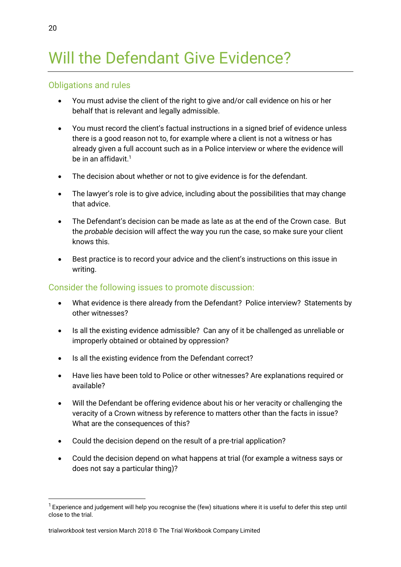## <span id="page-19-0"></span>Will the Defendant Give Evidence?

## Obligations and rules

- You must advise the client of the right to give and/or call evidence on his or her behalf that is relevant and legally admissible.
- You must record the client's factual instructions in a signed brief of evidence unless there is a good reason not to, for example where a client is not a witness or has already given a full account such as in a Police interview or where the evidence will be in an affidavit. $^1$
- The decision about whether or not to give evidence is for the defendant.
- The lawyer's role is to give advice, including about the possibilities that may change that advice.
- The Defendant's decision can be made as late as at the end of the Crown case. But the *probable* decision will affect the way you run the case, so make sure your client knows this.
- Best practice is to record your advice and the client's instructions on this issue in writing.

### Consider the following issues to promote discussion:

- What evidence is there already from the Defendant? Police interview? Statements by other witnesses?
- Is all the existing evidence admissible? Can any of it be challenged as unreliable or improperly obtained or obtained by oppression?
- Is all the existing evidence from the Defendant correct?
- Have lies have been told to Police or other witnesses? Are explanations required or available?
- Will the Defendant be offering evidence about his or her veracity or challenging the veracity of a Crown witness by reference to matters other than the facts in issue? What are the consequences of this?
- Could the decision depend on the result of a pre-trial application?
- Could the decision depend on what happens at trial (for example a witness says or does not say a particular thing)?

1

 $1$  Experience and judgement will help you recognise the (few) situations where it is useful to defer this step until close to the trial.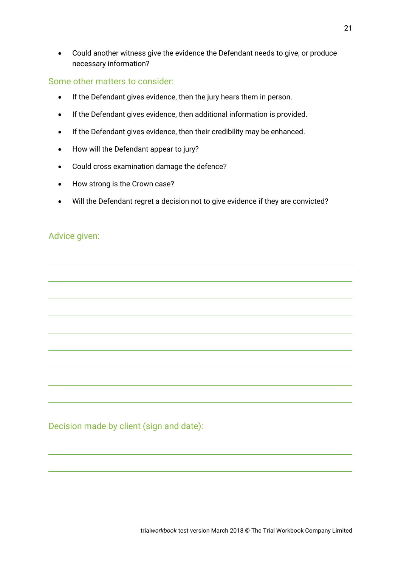• Could another witness give the evidence the Defendant needs to give, or produce necessary information?

### Some other matters to consider:

- If the Defendant gives evidence, then the jury hears them in person.
- If the Defendant gives evidence, then additional information is provided.
- If the Defendant gives evidence, then their credibility may be enhanced.
- How will the Defendant appear to jury?
- Could cross examination damage the defence?
- How strong is the Crown case?
- Will the Defendant regret a decision not to give evidence if they are convicted?

### Advice given:

Decision made by client (sign and date):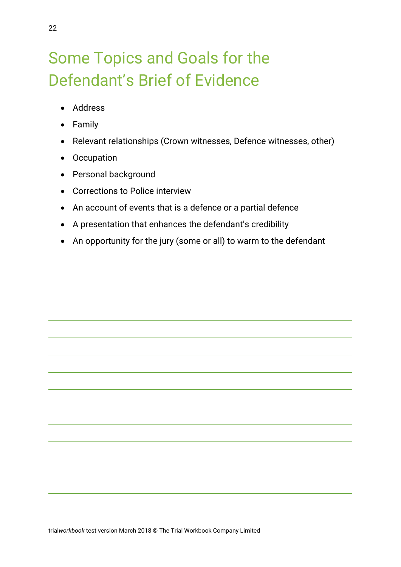## <span id="page-21-0"></span>Some Topics and Goals for the Defendant's Brief of Evidence

- Address
- Family
- Relevant relationships (Crown witnesses, Defence witnesses, other)
- Occupation
- Personal background
- Corrections to Police interview
- An account of events that is a defence or a partial defence
- A presentation that enhances the defendant's credibility
- An opportunity for the jury (some or all) to warm to the defendant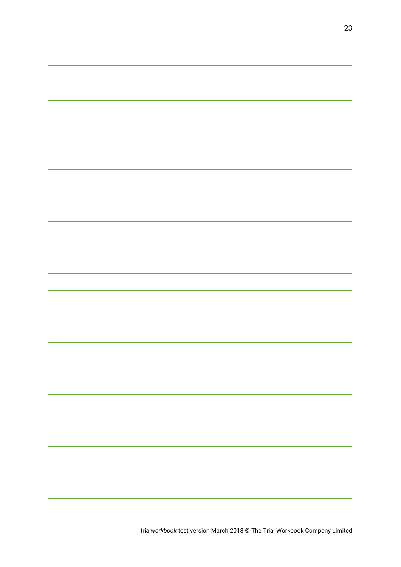

trial*workbook* test version March 2018 © The Trial Workbook Company Limited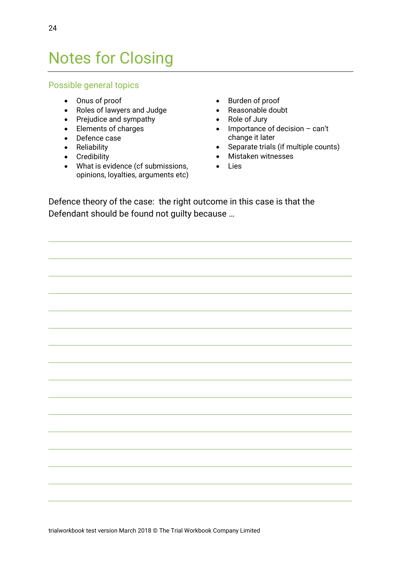## <span id="page-23-0"></span>Notes for Closing

### Possible general topics

- Onus of proof
- Roles of lawyers and Judge
- Prejudice and sympathy
- Elements of charges
- Defence case
- Reliability
- Credibility
- What is evidence (cf submissions, opinions, loyalties, arguments etc)
- Burden of proof
- Reasonable doubt
- Role of Jury
- Importance of decision can't change it later
- Separate trials (if multiple counts)
- Mistaken witnesses
- Lies

Defence theory of the case: the right outcome in this case is that the Defendant should be found not guilty because …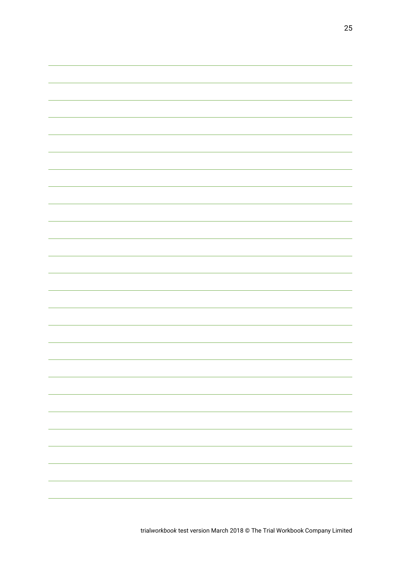

trial*workbook* test version March 2018 © The Trial Workbook Company Limited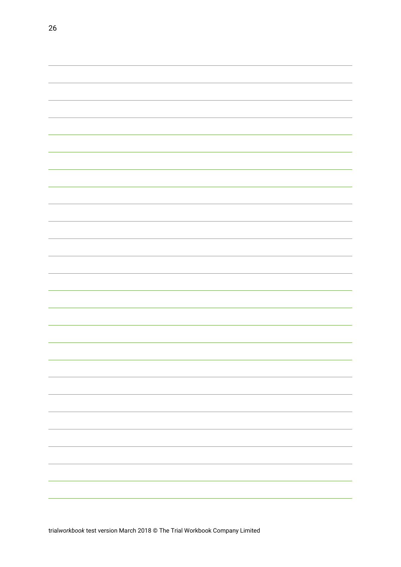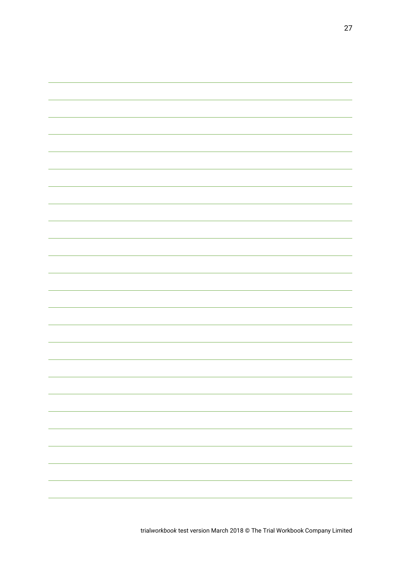

trial*workbook* test version March 2018 © The Trial Workbook Company Limited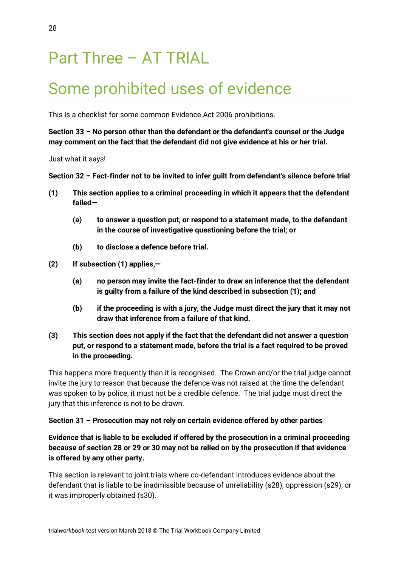## <span id="page-27-0"></span>Part Three – AT TRIAL

## <span id="page-27-1"></span>Some prohibited uses of evidence

This is a checklist for some common Evidence Act 2006 prohibitions.

**Section 33 – No person other than the defendant or the defendant's counsel or the Judge may comment on the fact that the defendant did not give evidence at his or her trial.**

Just what it says!

**Section 32 – Fact-finder not to be invited to infer guilt from defendant's silence before trial**

- **(1) This section applies to a criminal proceeding in which it appears that the defendant failed—**
	- **(a) to answer a question put, or respond to a statement made, to the defendant in the course of investigative questioning before the trial; or**
	- **(b) to disclose a defence before trial.**
- **(2) If subsection (1) applies,—**
	- **(a) no person may invite the fact-finder to draw an inference that the defendant is guilty from a failure of the kind described in subsection (1); and**
	- **(b) if the proceeding is with a jury, the Judge must direct the jury that it may not draw that inference from a failure of that kind.**
- **(3) This section does not apply if the fact that the defendant did not answer a question put, or respond to a statement made, before the trial is a fact required to be proved in the proceeding.**

This happens more frequently than it is recognised. The Crown and/or the trial judge cannot invite the jury to reason that because the defence was not raised at the time the defendant was spoken to by police, it must not be a credible defence. The trial judge must direct the jury that this inference is not to be drawn.

#### **Section 31 – Prosecution may not rely on certain evidence offered by other parties**

**Evidence that is liable to be excluded if offered by the prosecution in a criminal proceeding because of section 28 or 29 or 30 may not be relied on by the prosecution if that evidence is offered by any other party.**

This section is relevant to joint trials where co-defendant introduces evidence about the defendant that is liable to be inadmissible because of unreliability (s28), oppression (s29), or it was improperly obtained (s30).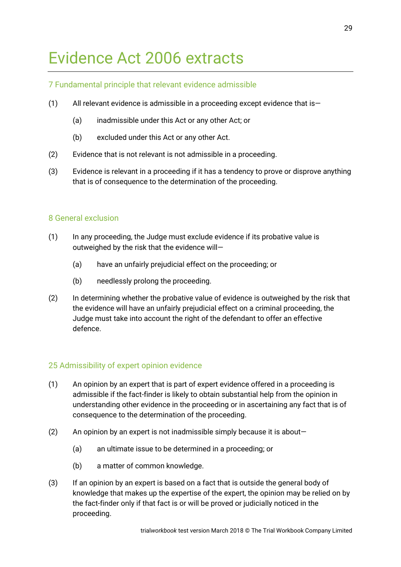## <span id="page-28-0"></span>Evidence Act 2006 extracts

## 7 Fundamental principle that relevant evidence admissible

- (1) All relevant evidence is admissible in a proceeding except evidence that is  $-$ 
	- (a) inadmissible under this Act or any other Act; or
	- (b) excluded under this Act or any other Act.
- (2) Evidence that is not relevant is not admissible in a proceeding.
- (3) Evidence is relevant in a proceeding if it has a tendency to prove or disprove anything that is of consequence to the determination of the proceeding.

### 8 General exclusion

- (1) In any proceeding, the Judge must exclude evidence if its probative value is outweighed by the risk that the evidence will—
	- (a) have an unfairly prejudicial effect on the proceeding; or
	- (b) needlessly prolong the proceeding.
- (2) In determining whether the probative value of evidence is outweighed by the risk that the evidence will have an unfairly prejudicial effect on a criminal proceeding, the Judge must take into account the right of the defendant to offer an effective defence.

### 25 Admissibility of expert opinion evidence

- (1) An opinion by an expert that is part of expert evidence offered in a proceeding is admissible if the fact-finder is likely to obtain substantial help from the opinion in understanding other evidence in the proceeding or in ascertaining any fact that is of consequence to the determination of the proceeding.
- (2) An opinion by an expert is not inadmissible simply because it is about-
	- (a) an ultimate issue to be determined in a proceeding; or
	- (b) a matter of common knowledge.
- (3) If an opinion by an expert is based on a fact that is outside the general body of knowledge that makes up the expertise of the expert, the opinion may be relied on by the fact-finder only if that fact is or will be proved or judicially noticed in the proceeding.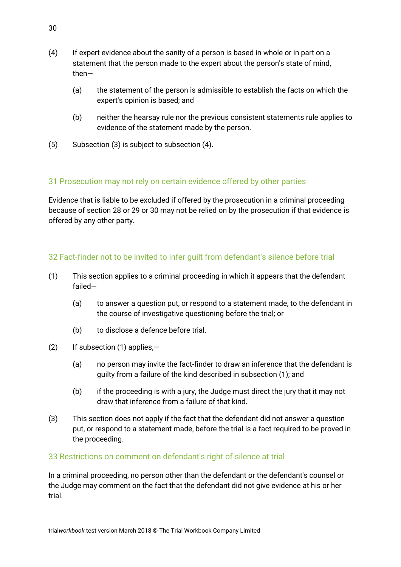- (4) If expert evidence about the sanity of a person is based in whole or in part on a statement that the person made to the expert about the person's state of mind, then—
	- (a) the statement of the person is admissible to establish the facts on which the expert's opinion is based; and
	- (b) neither the hearsay rule nor the previous consistent statements rule applies to evidence of the statement made by the person.
- (5) Subsection (3) is subject to subsection (4).

#### 31 Prosecution may not rely on certain evidence offered by other parties

Evidence that is liable to be excluded if offered by the prosecution in a criminal proceeding because of section 28 or 29 or 30 may not be relied on by the prosecution if that evidence is offered by any other party.

### 32 Fact-finder not to be invited to infer guilt from defendant's silence before trial

- (1) This section applies to a criminal proceeding in which it appears that the defendant failed—
	- (a) to answer a question put, or respond to a statement made, to the defendant in the course of investigative questioning before the trial; or
	- (b) to disclose a defence before trial.
- (2) If subsection  $(1)$  applies, $-$ 
	- (a) no person may invite the fact-finder to draw an inference that the defendant is guilty from a failure of the kind described in subsection (1); and
	- (b) if the proceeding is with a jury, the Judge must direct the jury that it may not draw that inference from a failure of that kind.
- (3) This section does not apply if the fact that the defendant did not answer a question put, or respond to a statement made, before the trial is a fact required to be proved in the proceeding.

#### 33 Restrictions on comment on defendant's right of silence at trial

In a criminal proceeding, no person other than the defendant or the defendant's counsel or the Judge may comment on the fact that the defendant did not give evidence at his or her trial.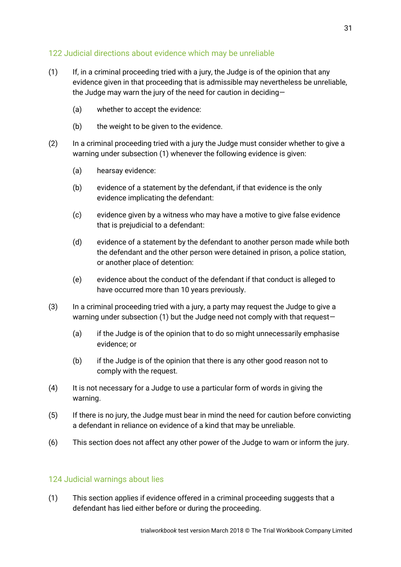### 122 Judicial directions about evidence which may be unreliable

- (1) If, in a criminal proceeding tried with a jury, the Judge is of the opinion that any evidence given in that proceeding that is admissible may nevertheless be unreliable, the Judge may warn the jury of the need for caution in deciding—
	- (a) whether to accept the evidence:
	- (b) the weight to be given to the evidence.
- (2) In a criminal proceeding tried with a jury the Judge must consider whether to give a warning under subsection (1) whenever the following evidence is given:
	- (a) hearsay evidence:
	- (b) evidence of a statement by the defendant, if that evidence is the only evidence implicating the defendant:
	- (c) evidence given by a witness who may have a motive to give false evidence that is prejudicial to a defendant:
	- (d) evidence of a statement by the defendant to another person made while both the defendant and the other person were detained in prison, a police station, or another place of detention:
	- (e) evidence about the conduct of the defendant if that conduct is alleged to have occurred more than 10 years previously.
- (3) In a criminal proceeding tried with a jury, a party may request the Judge to give a warning under subsection (1) but the Judge need not comply with that request—
	- (a) if the Judge is of the opinion that to do so might unnecessarily emphasise evidence; or
	- (b) if the Judge is of the opinion that there is any other good reason not to comply with the request.
- (4) It is not necessary for a Judge to use a particular form of words in giving the warning.
- (5) If there is no jury, the Judge must bear in mind the need for caution before convicting a defendant in reliance on evidence of a kind that may be unreliable.
- (6) This section does not affect any other power of the Judge to warn or inform the jury.

#### 124 Judicial warnings about lies

(1) This section applies if evidence offered in a criminal proceeding suggests that a defendant has lied either before or during the proceeding.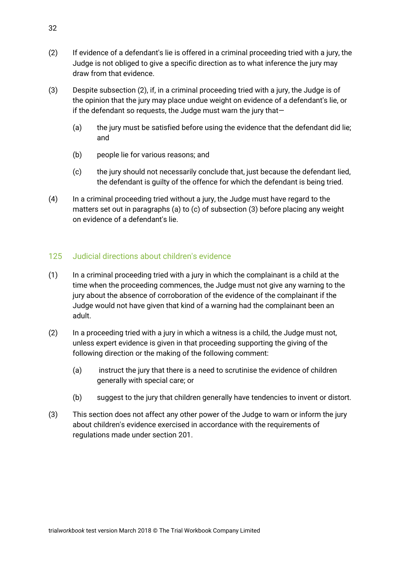- (2) If evidence of a defendant's lie is offered in a criminal proceeding tried with a jury, the Judge is not obliged to give a specific direction as to what inference the jury may draw from that evidence.
- (3) Despite subsection (2), if, in a criminal proceeding tried with a jury, the Judge is of the opinion that the jury may place undue weight on evidence of a defendant's lie, or if the defendant so requests, the Judge must warn the jury that—
	- (a) the jury must be satisfied before using the evidence that the defendant did lie; and
	- (b) people lie for various reasons; and
	- (c) the jury should not necessarily conclude that, just because the defendant lied, the defendant is guilty of the offence for which the defendant is being tried.
- (4) In a criminal proceeding tried without a jury, the Judge must have regard to the matters set out in paragraphs (a) to (c) of subsection (3) before placing any weight on evidence of a defendant's lie.

### 125 Judicial directions about children's evidence

- (1) In a criminal proceeding tried with a jury in which the complainant is a child at the time when the proceeding commences, the Judge must not give any warning to the jury about the absence of corroboration of the evidence of the complainant if the Judge would not have given that kind of a warning had the complainant been an adult.
- (2) In a proceeding tried with a jury in which a witness is a child, the Judge must not, unless expert evidence is given in that proceeding supporting the giving of the following direction or the making of the following comment:
	- (a) instruct the jury that there is a need to scrutinise the evidence of children generally with special care; or
	- (b) suggest to the jury that children generally have tendencies to invent or distort.
- (3) This section does not affect any other power of the Judge to warn or inform the jury about children's evidence exercised in accordance with the requirements of regulations made under section 201.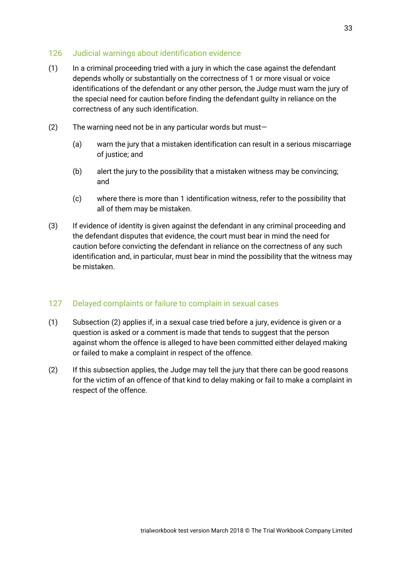#### 126 Judicial warnings about identification evidence

- (1) In a criminal proceeding tried with a jury in which the case against the defendant depends wholly or substantially on the correctness of 1 or more visual or voice identifications of the defendant or any other person, the Judge must warn the jury of the special need for caution before finding the defendant guilty in reliance on the correctness of any such identification.
- (2) The warning need not be in any particular words but must—
	- (a) warn the jury that a mistaken identification can result in a serious miscarriage of justice; and
	- (b) alert the jury to the possibility that a mistaken witness may be convincing; and
	- (c) where there is more than 1 identification witness, refer to the possibility that all of them may be mistaken.
- (3) If evidence of identity is given against the defendant in any criminal proceeding and the defendant disputes that evidence, the court must bear in mind the need for caution before convicting the defendant in reliance on the correctness of any such identification and, in particular, must bear in mind the possibility that the witness may be mistaken.

#### 127 Delayed complaints or failure to complain in sexual cases

- (1) Subsection (2) applies if, in a sexual case tried before a jury, evidence is given or a question is asked or a comment is made that tends to suggest that the person against whom the offence is alleged to have been committed either delayed making or failed to make a complaint in respect of the offence.
- (2) If this subsection applies, the Judge may tell the jury that there can be good reasons for the victim of an offence of that kind to delay making or fail to make a complaint in respect of the offence.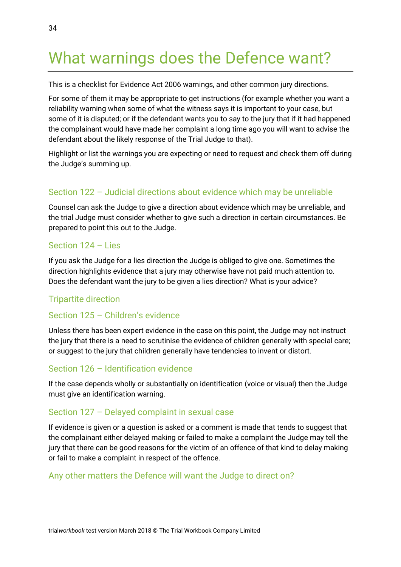## <span id="page-33-0"></span>What warnings does the Defence want?

This is a checklist for Evidence Act 2006 warnings, and other common jury directions.

For some of them it may be appropriate to get instructions (for example whether you want a reliability warning when some of what the witness says it is important to your case, but some of it is disputed; or if the defendant wants you to say to the jury that if it had happened the complainant would have made her complaint a long time ago you will want to advise the defendant about the likely response of the Trial Judge to that).

Highlight or list the warnings you are expecting or need to request and check them off during the Judge's summing up.

## Section 122 – Judicial directions about evidence which may be unreliable

Counsel can ask the Judge to give a direction about evidence which may be unreliable, and the trial Judge must consider whether to give such a direction in certain circumstances. Be prepared to point this out to the Judge.

## Section 124 – Lies

If you ask the Judge for a lies direction the Judge is obliged to give one. Sometimes the direction highlights evidence that a jury may otherwise have not paid much attention to. Does the defendant want the jury to be given a lies direction? What is your advice?

## Tripartite direction

## Section 125 – Children's evidence

Unless there has been expert evidence in the case on this point, the Judge may not instruct the jury that there is a need to scrutinise the evidence of children generally with special care; or suggest to the jury that children generally have tendencies to invent or distort.

### Section 126 – Identification evidence

If the case depends wholly or substantially on identification (voice or visual) then the Judge must give an identification warning.

### Section 127 – Delayed complaint in sexual case

If evidence is given or a question is asked or a comment is made that tends to suggest that the complainant either delayed making or failed to make a complaint the Judge may tell the jury that there can be good reasons for the victim of an offence of that kind to delay making or fail to make a complaint in respect of the offence.

## Any other matters the Defence will want the Judge to direct on?